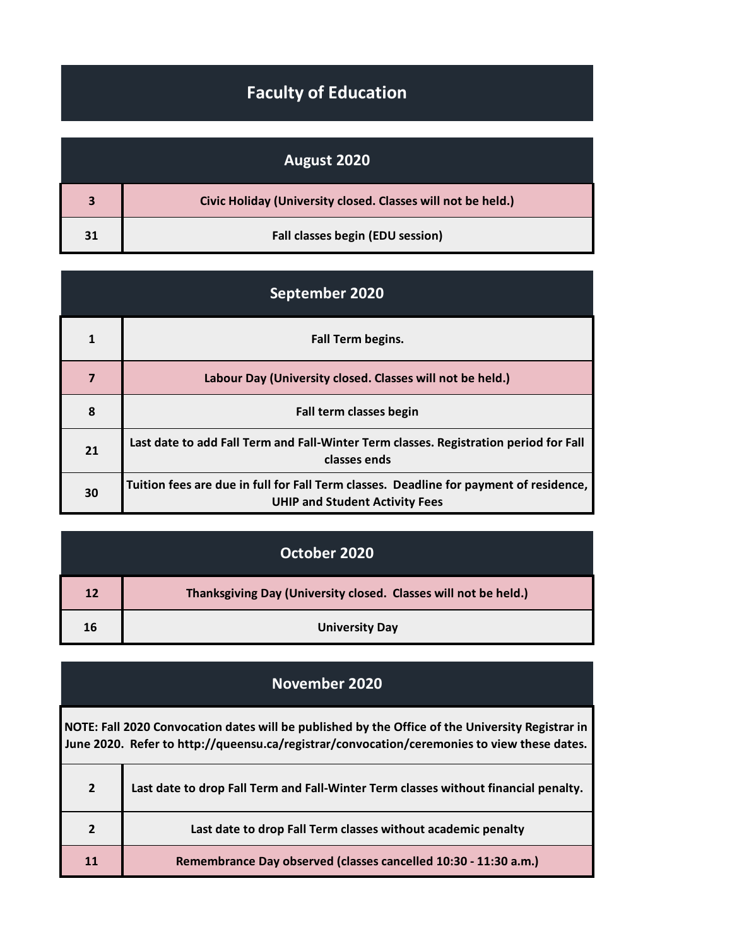## **Faculty of Education**

|    | August 2020                                                  |
|----|--------------------------------------------------------------|
|    | Civic Holiday (University closed. Classes will not be held.) |
| 31 | Fall classes begin (EDU session)                             |

| September 2020 |                                                                                                                                 |
|----------------|---------------------------------------------------------------------------------------------------------------------------------|
| 1              | Fall Term begins.                                                                                                               |
| 7              | Labour Day (University closed. Classes will not be held.)                                                                       |
| 8              | Fall term classes begin                                                                                                         |
| 21             | Last date to add Fall Term and Fall-Winter Term classes. Registration period for Fall<br>classes ends                           |
| 30             | Tuition fees are due in full for Fall Term classes. Deadline for payment of residence,<br><b>UHIP and Student Activity Fees</b> |

|    | October 2020                                                    |
|----|-----------------------------------------------------------------|
| 12 | Thanksgiving Day (University closed. Classes will not be held.) |
| 16 | <b>University Day</b>                                           |

## **November 2020**

**NOTE: Fall 2020 Convocation dates will be published by the Office of the University Registrar in June 2020. Refer to http://queensu.ca/registrar/convocation/ceremonies to view these dates.**

| $2^{\circ}$ | Last date to drop Fall Term and Fall-Winter Term classes without financial penalty. |
|-------------|-------------------------------------------------------------------------------------|
|             | Last date to drop Fall Term classes without academic penalty                        |
| 11          | Remembrance Day observed (classes cancelled 10:30 - 11:30 a.m.)                     |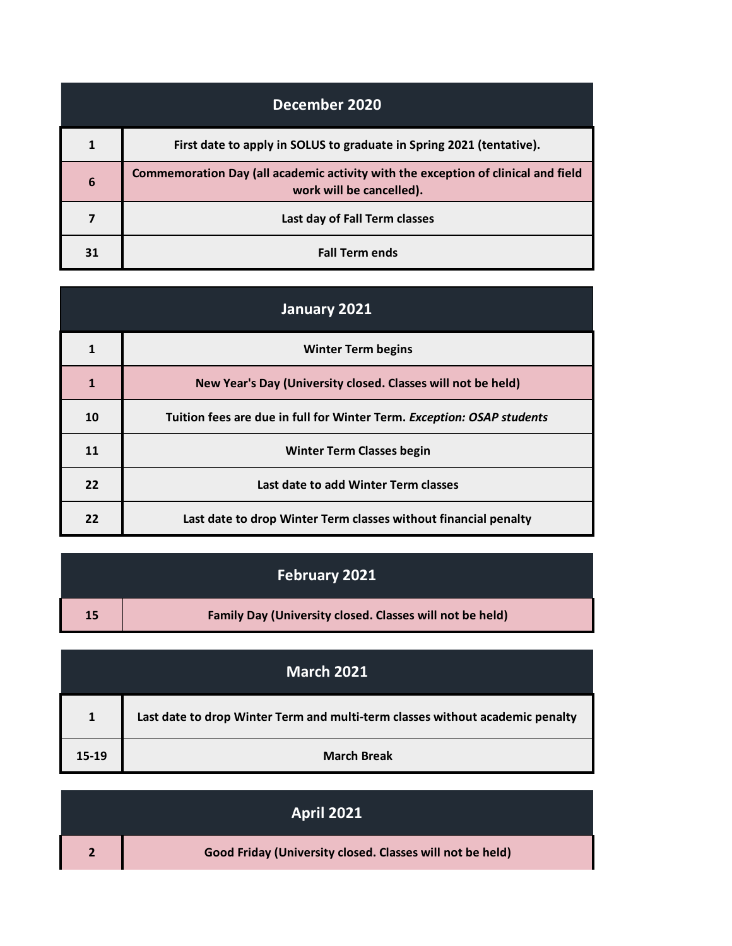| December 2020 |                                                                                                               |
|---------------|---------------------------------------------------------------------------------------------------------------|
|               | First date to apply in SOLUS to graduate in Spring 2021 (tentative).                                          |
| 6             | Commemoration Day (all academic activity with the exception of clinical and field<br>work will be cancelled). |
|               | Last day of Fall Term classes                                                                                 |
| 31            | <b>Fall Term ends</b>                                                                                         |

| January 2021 |                                                                        |
|--------------|------------------------------------------------------------------------|
| 1            | <b>Winter Term begins</b>                                              |
| $\mathbf{1}$ | New Year's Day (University closed. Classes will not be held)           |
| 10           | Tuition fees are due in full for Winter Term. Exception: OSAP students |
| 11           | <b>Winter Term Classes begin</b>                                       |
| 22           | Last date to add Winter Term classes                                   |
| 22           | Last date to drop Winter Term classes without financial penalty        |

|    | <b>February 2021</b>                                            |
|----|-----------------------------------------------------------------|
| 15 | <b>Family Day (University closed. Classes will not be held)</b> |

|              | <b>March 2021</b>                                                             |
|--------------|-------------------------------------------------------------------------------|
| $\mathbf{1}$ | Last date to drop Winter Term and multi-term classes without academic penalty |
| $15-19$      | <b>March Break</b>                                                            |

| <b>April 2021</b>                                         |
|-----------------------------------------------------------|
| Good Friday (University closed. Classes will not be held) |